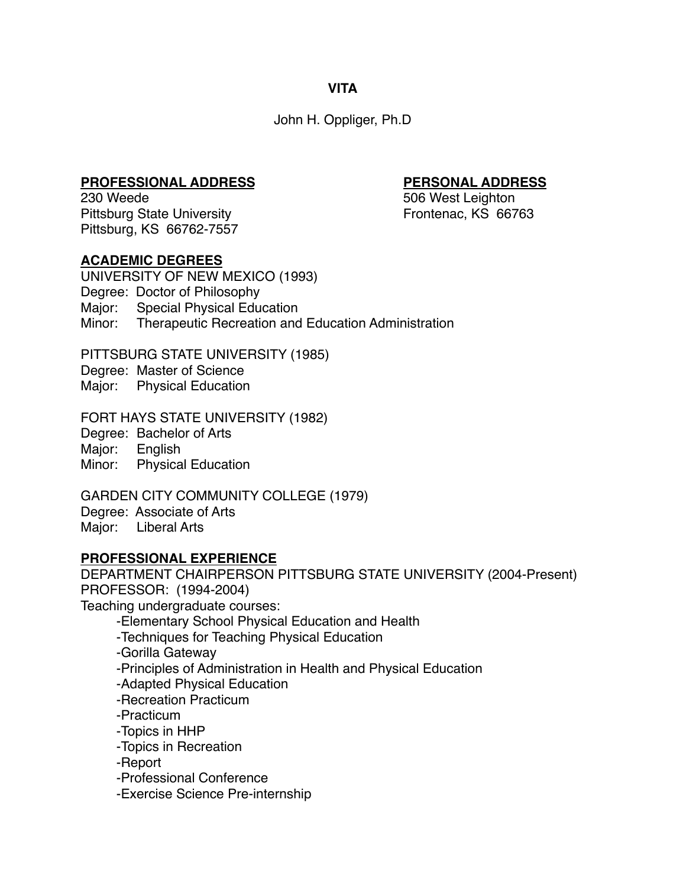**VITA**

John H. Oppliger, Ph.D

**PROFESSIONAL ADDRESS PERSONAL ADDRESS** Pittsburg State University **Frontenac, KS** 66763 Pittsburg, KS 66762-7557

506 West Leighton

# **ACADEMIC DEGREES**

UNIVERSITY OF NEW MEXICO (1993) Degree: Doctor of Philosophy Major: Special Physical Education Minor: Therapeutic Recreation and Education Administration

PITTSBURG STATE UNIVERSITY (1985)

Degree: Master of Science

Major: Physical Education

FORT HAYS STATE UNIVERSITY (1982)

Degree: Bachelor of Arts

Major: English

Minor: Physical Education

GARDEN CITY COMMUNITY COLLEGE (1979) Degree: Associate of Arts Major: Liberal Arts

# **PROFESSIONAL EXPERIENCE**

DEPARTMENT CHAIRPERSON PITTSBURG STATE UNIVERSITY (2004-Present) PROFESSOR: (1994-2004)

Teaching undergraduate courses:

-Elementary School Physical Education and Health

-Techniques for Teaching Physical Education

-Gorilla Gateway

-Principles of Administration in Health and Physical Education

-Adapted Physical Education

-Recreation Practicum

-Practicum

-Topics in HHP

-Topics in Recreation

-Report

-Professional Conference

-Exercise Science Pre-internship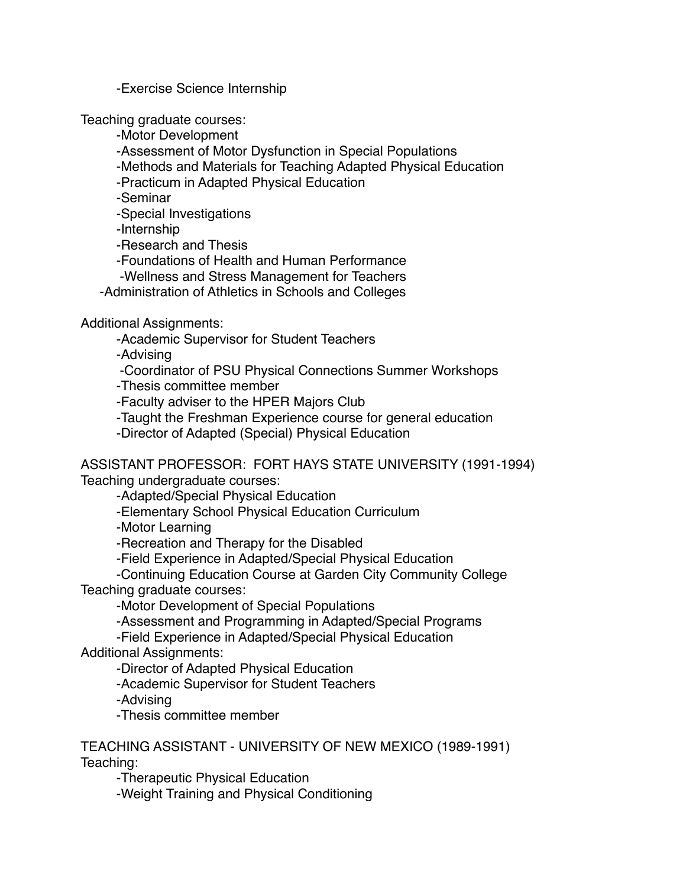-Exercise Science Internship

Teaching graduate courses:

-Motor Development

-Assessment of Motor Dysfunction in Special Populations

-Methods and Materials for Teaching Adapted Physical Education

-Practicum in Adapted Physical Education

-Seminar

-Special Investigations

-Internship

-Research and Thesis

-Foundations of Health and Human Performance

-Wellness and Stress Management for Teachers

-Administration of Athletics in Schools and Colleges

Additional Assignments:

-Academic Supervisor for Student Teachers

-Advising

-Coordinator of PSU Physical Connections Summer Workshops

-Thesis committee member

-Faculty adviser to the HPER Majors Club

-Taught the Freshman Experience course for general education

-Director of Adapted (Special) Physical Education

ASSISTANT PROFESSOR: FORT HAYS STATE UNIVERSITY (1991-1994) Teaching undergraduate courses:

-Adapted/Special Physical Education

-Elementary School Physical Education Curriculum

-Motor Learning

-Recreation and Therapy for the Disabled

-Field Experience in Adapted/Special Physical Education

-Continuing Education Course at Garden City Community College Teaching graduate courses:

-Motor Development of Special Populations

-Assessment and Programming in Adapted/Special Programs

-Field Experience in Adapted/Special Physical Education

Additional Assignments:

-Director of Adapted Physical Education

-Academic Supervisor for Student Teachers

-Advising

-Thesis committee member

TEACHING ASSISTANT - UNIVERSITY OF NEW MEXICO (1989-1991) Teaching:

-Therapeutic Physical Education

-Weight Training and Physical Conditioning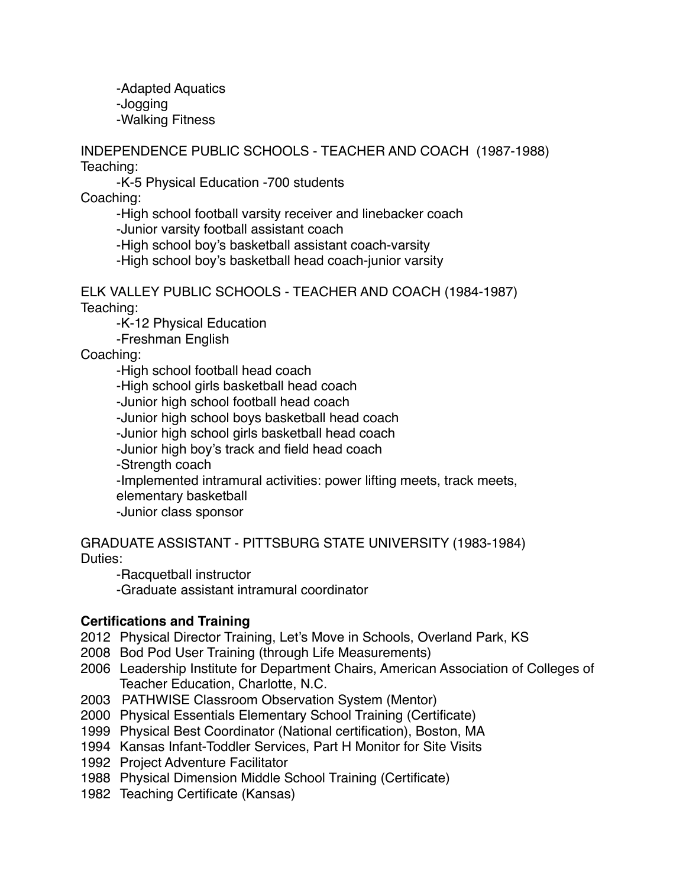-Adapted Aquatics -Jogging -Walking Fitness

INDEPENDENCE PUBLIC SCHOOLS - TEACHER AND COACH (1987-1988) Teaching:

-K-5 Physical Education -700 students

Coaching:

-High school football varsity receiver and linebacker coach

-Junior varsity football assistant coach

-High school boy's basketball assistant coach-varsity

-High school boy's basketball head coach-junior varsity

ELK VALLEY PUBLIC SCHOOLS - TEACHER AND COACH (1984-1987) Teaching:

-K-12 Physical Education

-Freshman English

Coaching:

-High school football head coach

-High school girls basketball head coach

-Junior high school football head coach

-Junior high school boys basketball head coach

-Junior high school girls basketball head coach

-Junior high boy's track and field head coach

-Strength coach

-Implemented intramural activities: power lifting meets, track meets,

elementary basketball

-Junior class sponsor

GRADUATE ASSISTANT - PITTSBURG STATE UNIVERSITY (1983-1984) Duties:

-Racquetball instructor

-Graduate assistant intramural coordinator

### **Certifications and Training**

- 2012 Physical Director Training, Let's Move in Schools, Overland Park, KS
- 2008 Bod Pod User Training (through Life Measurements)
- 2006 Leadership Institute for Department Chairs, American Association of Colleges of Teacher Education, Charlotte, N.C.
- 2003 PATHWISE Classroom Observation System (Mentor)
- 2000 Physical Essentials Elementary School Training (Certificate)
- 1999 Physical Best Coordinator (National certification), Boston, MA
- 1994 Kansas Infant-Toddler Services, Part H Monitor for Site Visits
- 1992 Project Adventure Facilitator
- 1988 Physical Dimension Middle School Training (Certificate)
- 1982 Teaching Certificate (Kansas)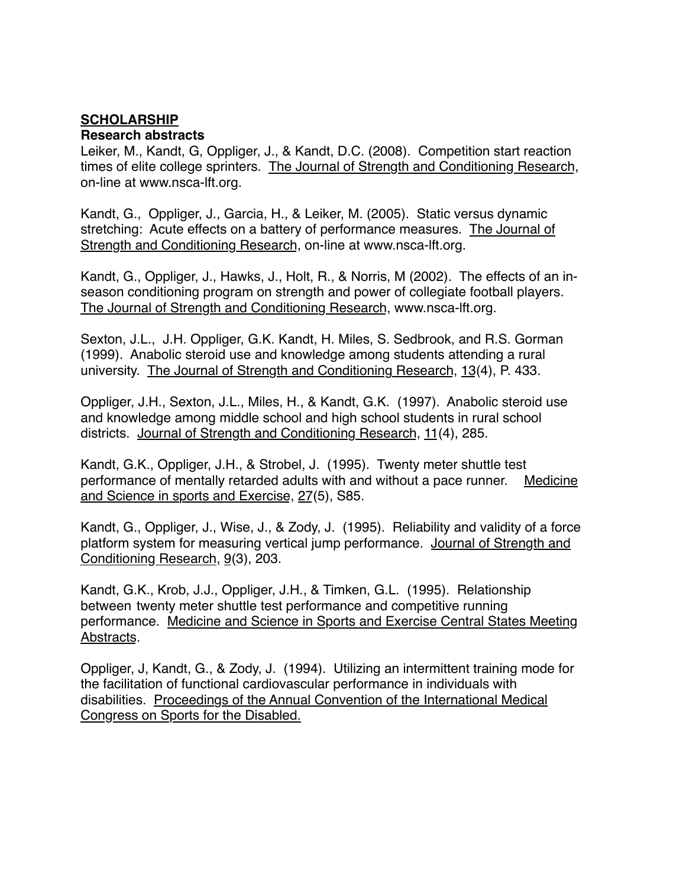### **SCHOLARSHIP**

#### **Research abstracts**

Leiker, M., Kandt, G, Oppliger, J., & Kandt, D.C. (2008). Competition start reaction times of elite college sprinters. The Journal of Strength and Conditioning Research, on-line at www.nsca-lft.org.

Kandt, G., Oppliger, J., Garcia, H., & Leiker, M. (2005). Static versus dynamic stretching: Acute effects on a battery of performance measures. The Journal of Strength and Conditioning Research, on-line at www.nsca-lft.org.

Kandt, G., Oppliger, J., Hawks, J., Holt, R., & Norris, M (2002). The effects of an inseason conditioning program on strength and power of collegiate football players. The Journal of Strength and Conditioning Research, www.nsca-lft.org.

Sexton, J.L., J.H. Oppliger, G.K. Kandt, H. Miles, S. Sedbrook, and R.S. Gorman (1999). Anabolic steroid use and knowledge among students attending a rural university. The Journal of Strength and Conditioning Research, 13(4), P. 433.

Oppliger, J.H., Sexton, J.L., Miles, H., & Kandt, G.K. (1997). Anabolic steroid use and knowledge among middle school and high school students in rural school districts. Journal of Strength and Conditioning Research, 11(4), 285.

Kandt, G.K., Oppliger, J.H., & Strobel, J. (1995). Twenty meter shuttle test performance of mentally retarded adults with and without a pace runner. Medicine and Science in sports and Exercise, 27(5), S85.

Kandt, G., Oppliger, J., Wise, J., & Zody, J. (1995). Reliability and validity of a force platform system for measuring vertical jump performance. Journal of Strength and Conditioning Research, 9(3), 203.

Kandt, G.K., Krob, J.J., Oppliger, J.H., & Timken, G.L. (1995). Relationship between twenty meter shuttle test performance and competitive running performance. Medicine and Science in Sports and Exercise Central States Meeting Abstracts.

Oppliger, J, Kandt, G., & Zody, J. (1994). Utilizing an intermittent training mode for the facilitation of functional cardiovascular performance in individuals with disabilities. Proceedings of the Annual Convention of the International Medical Congress on Sports for the Disabled.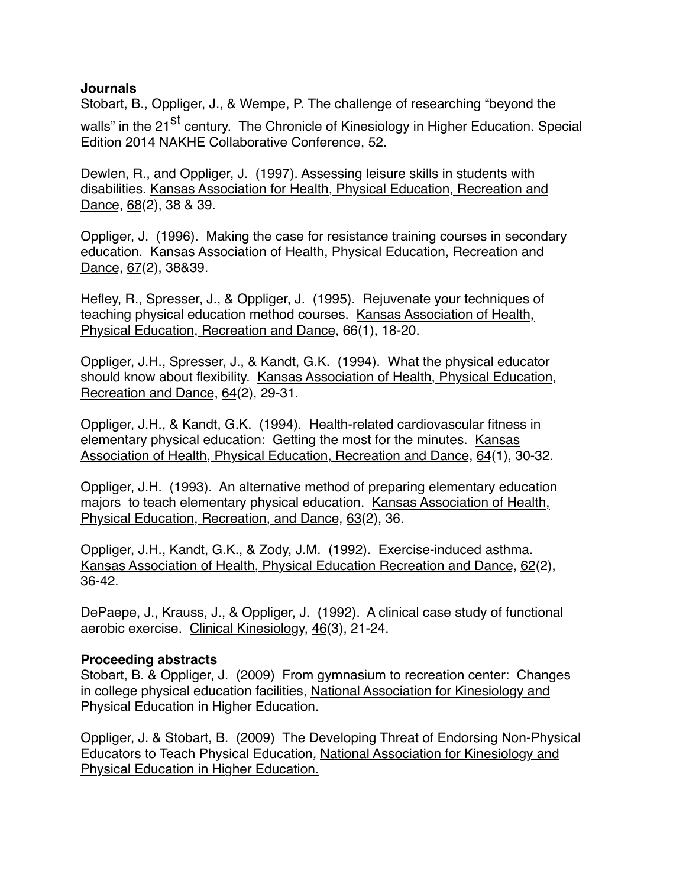### **Journals**

Stobart, B., Oppliger, J., & Wempe, P. The challenge of researching "beyond the walls" in the 21<sup>st</sup> century. The Chronicle of Kinesiology in Higher Education. Special Edition 2014 NAKHE Collaborative Conference, 52.

Dewlen, R., and Oppliger, J. (1997). Assessing leisure skills in students with disabilities. Kansas Association for Health, Physical Education, Recreation and Dance, 68(2), 38 & 39.

Oppliger, J. (1996). Making the case for resistance training courses in secondary education. Kansas Association of Health, Physical Education, Recreation and Dance, 67(2), 38&39.

Hefley, R., Spresser, J., & Oppliger, J. (1995). Rejuvenate your techniques of teaching physical education method courses. Kansas Association of Health, Physical Education, Recreation and Dance, 66(1), 18-20.

Oppliger, J.H., Spresser, J., & Kandt, G.K. (1994). What the physical educator should know about flexibility. Kansas Association of Health, Physical Education, Recreation and Dance, 64(2), 29-31.

Oppliger, J.H., & Kandt, G.K. (1994). Health-related cardiovascular fitness in elementary physical education: Getting the most for the minutes. Kansas Association of Health, Physical Education, Recreation and Dance, 64(1), 30-32.

Oppliger, J.H. (1993). An alternative method of preparing elementary education majors to teach elementary physical education. Kansas Association of Health, Physical Education, Recreation, and Dance, 63(2), 36.

Oppliger, J.H., Kandt, G.K., & Zody, J.M. (1992). Exercise-induced asthma. Kansas Association of Health, Physical Education Recreation and Dance, 62(2), 36-42.

DePaepe, J., Krauss, J., & Oppliger, J. (1992). A clinical case study of functional aerobic exercise. Clinical Kinesiology, 46(3), 21-24.

### **Proceeding abstracts**

Stobart, B. & Oppliger, J. (2009) From gymnasium to recreation center: Changes in college physical education facilities*,* National Association for Kinesiology and Physical Education in Higher Education.

Oppliger, J. & Stobart, B. (2009) The Developing Threat of Endorsing Non-Physical Educators to Teach Physical Education*,* National Association for Kinesiology and Physical Education in Higher Education.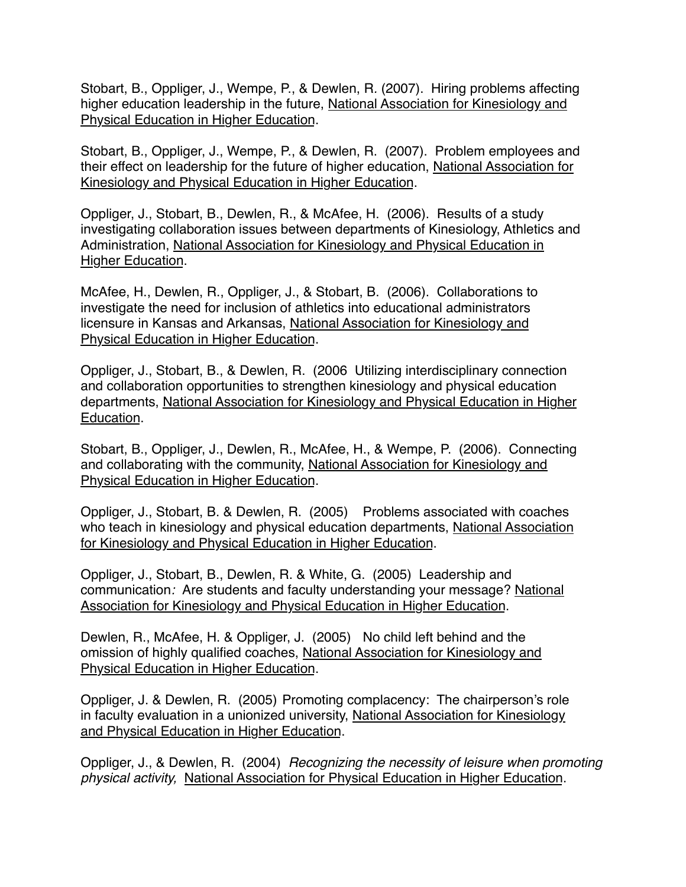Stobart, B., Oppliger, J., Wempe, P., & Dewlen, R*.* (2007). Hiring problems affecting higher education leadership in the future, National Association for Kinesiology and Physical Education in Higher Education.

Stobart, B., Oppliger, J., Wempe, P., & Dewlen, R. (2007). Problem employees and their effect on leadership for the future of higher education, National Association for Kinesiology and Physical Education in Higher Education.

Oppliger, J., Stobart, B., Dewlen, R., & McAfee, H. (2006). Results of a study investigating collaboration issues between departments of Kinesiology, Athletics and Administration, National Association for Kinesiology and Physical Education in Higher Education.

McAfee, H., Dewlen, R., Oppliger, J., & Stobart, B. (2006). Collaborations to investigate the need for inclusion of athletics into educational administrators licensure in Kansas and Arkansas, National Association for Kinesiology and Physical Education in Higher Education.

Oppliger, J., Stobart, B., & Dewlen, R. (2006 Utilizing interdisciplinary connection and collaboration opportunities to strengthen kinesiology and physical education departments, National Association for Kinesiology and Physical Education in Higher Education.

Stobart, B., Oppliger, J., Dewlen, R., McAfee, H., & Wempe, P. (2006). Connecting and collaborating with the community, National Association for Kinesiology and Physical Education in Higher Education.

Oppliger, J., Stobart, B. & Dewlen, R. (2005) Problems associated with coaches who teach in kinesiology and physical education departments, National Association for Kinesiology and Physical Education in Higher Education.

Oppliger, J., Stobart, B., Dewlen, R. & White, G. (2005) Leadership and communication*:* Are students and faculty understanding your message? National Association for Kinesiology and Physical Education in Higher Education.

Dewlen, R., McAfee, H. & Oppliger, J. (2005) No child left behind and the omission of highly qualified coaches, National Association for Kinesiology and Physical Education in Higher Education.

Oppliger, J. & Dewlen, R. (2005) Promoting complacency: The chairperson's role in faculty evaluation in a unionized university, National Association for Kinesiology and Physical Education in Higher Education.

Oppliger, J., & Dewlen, R. (2004) *Recognizing the necessity of leisure when promoting physical activity,* National Association for Physical Education in Higher Education.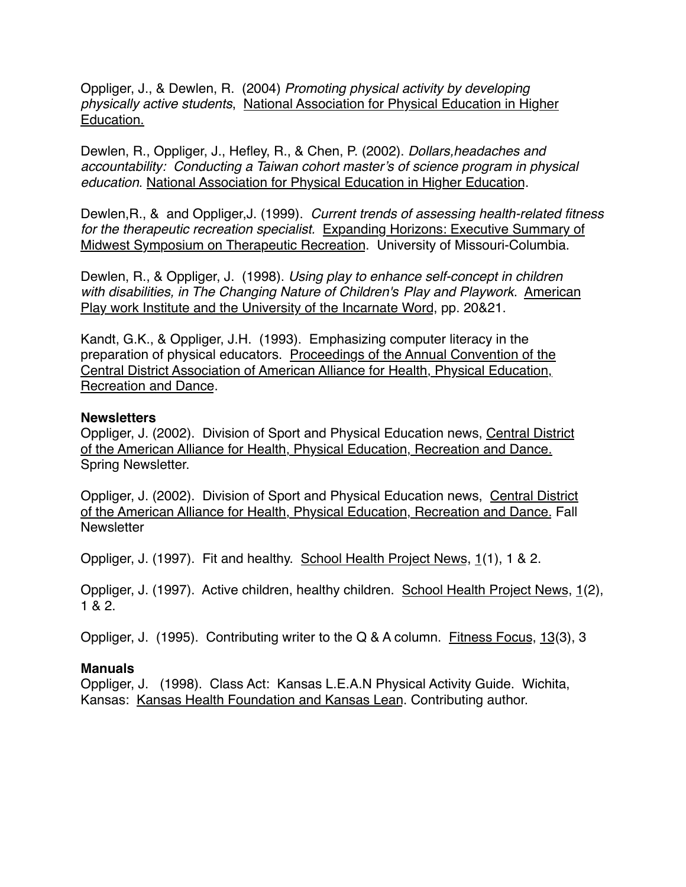Oppliger, J., & Dewlen, R. (2004) *Promoting physical activity by developing physically active students*, National Association for Physical Education in Higher Education.

Dewlen, R., Oppliger, J., Hefley, R., & Chen, P. (2002). *Dollars,headaches and accountability: Conducting a Taiwan cohort master's of science program in physical education*. National Association for Physical Education in Higher Education.

Dewlen,R., & and Oppliger,J. (1999). *Current trends of assessing health-related fitness for the therapeutic recreation specialist.* Expanding Horizons: Executive Summary of Midwest Symposium on Therapeutic Recreation. University of Missouri-Columbia.

Dewlen, R., & Oppliger, J. (1998). *Using play to enhance self-concept in children with disabilities, in The Changing Nature of Children's Play and Playwork*. American Play work Institute and the University of the Incarnate Word, pp. 20&21.

Kandt, G.K., & Oppliger, J.H. (1993). Emphasizing computer literacy in the preparation of physical educators. Proceedings of the Annual Convention of the Central District Association of American Alliance for Health, Physical Education, Recreation and Dance.

### **Newsletters**

Oppliger, J. (2002). Division of Sport and Physical Education news, Central District of the American Alliance for Health, Physical Education, Recreation and Dance. Spring Newsletter.

Oppliger, J. (2002). Division of Sport and Physical Education news, Central District of the American Alliance for Health, Physical Education, Recreation and Dance. Fall **Newsletter** 

Oppliger, J. (1997). Fit and healthy. School Health Project News, 1(1), 1 & 2.

Oppliger, J. (1997). Active children, healthy children. School Health Project News, 1(2), 1 & 2.

Oppliger, J. (1995). Contributing writer to the Q & A column. Fitness Focus, 13(3), 3

# **Manuals**

Oppliger, J. (1998). Class Act: Kansas L.E.A.N Physical Activity Guide. Wichita, Kansas: Kansas Health Foundation and Kansas Lean. Contributing author.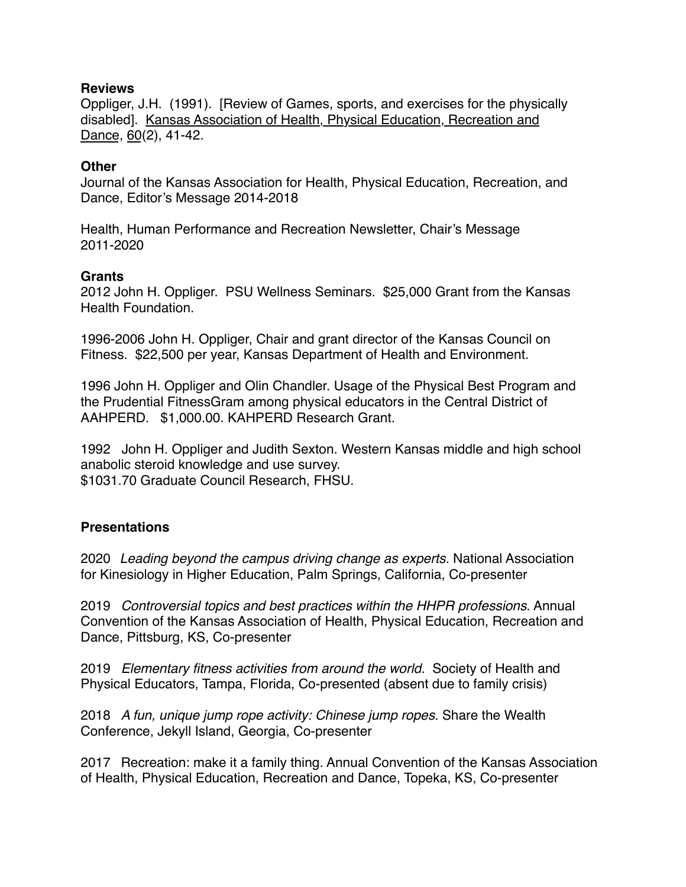#### **Reviews**

Oppliger, J.H. (1991). [Review of Games, sports, and exercises for the physically disabled]. Kansas Association of Health, Physical Education, Recreation and Dance, 60(2), 41-42.

#### **Other**

Journal of the Kansas Association for Health, Physical Education, Recreation, and Dance, Editor's Message 2014-2018

Health, Human Performance and Recreation Newsletter, Chair's Message 2011-2020

#### **Grants**

2012 John H. Oppliger. PSU Wellness Seminars. \$25,000 Grant from the Kansas Health Foundation.

1996-2006 John H. Oppliger, Chair and grant director of the Kansas Council on Fitness. \$22,500 per year, Kansas Department of Health and Environment.

1996 John H. Oppliger and Olin Chandler. Usage of the Physical Best Program and the Prudential FitnessGram among physical educators in the Central District of AAHPERD. \$1,000.00. KAHPERD Research Grant.

1992 John H. Oppliger and Judith Sexton. Western Kansas middle and high school anabolic steroid knowledge and use survey. \$1031.70 Graduate Council Research, FHSU.

### **Presentations**

2020 *Leading beyond the campus driving change as experts.* National Association for Kinesiology in Higher Education, Palm Springs, California, Co-presenter

2019 *Controversial topics and best practices within the HHPR professions*. Annual Convention of the Kansas Association of Health, Physical Education, Recreation and Dance, Pittsburg, KS, Co-presenter

2019 *Elementary fitness activities from around the world.* Society of Health and Physical Educators, Tampa, Florida, Co-presented (absent due to family crisis)

2018 *A fun, unique jump rope activity: Chinese jump ropes.* Share the Wealth Conference, Jekyll Island, Georgia, Co-presenter

2017 Recreation: make it a family thing. Annual Convention of the Kansas Association of Health, Physical Education, Recreation and Dance, Topeka, KS, Co-presenter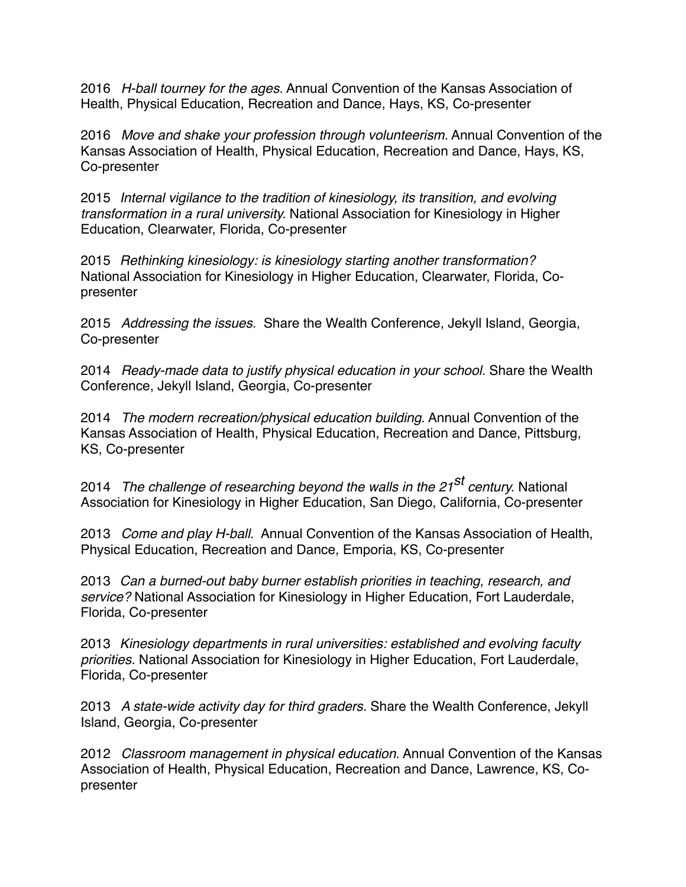2016 *H-ball tourney for the ages.* Annual Convention of the Kansas Association of Health, Physical Education, Recreation and Dance, Hays, KS, Co-presenter

2016 *Move and shake your profession through volunteerism.* Annual Convention of the Kansas Association of Health, Physical Education, Recreation and Dance, Hays, KS, Co-presenter

2015 *Internal vigilance to the tradition of kinesiology, its transition, and evolving transformation in a rural university.* National Association for Kinesiology in Higher Education, Clearwater, Florida, Co-presenter

2015 *Rethinking kinesiology: is kinesiology starting another transformation?* National Association for Kinesiology in Higher Education, Clearwater, Florida, Copresenter

2015 *Addressing the issues.* Share the Wealth Conference, Jekyll Island, Georgia, Co-presenter

2014 *Ready-made data to justify physical education in your school.* Share the Wealth Conference, Jekyll Island, Georgia, Co-presenter

2014 *The modern recreation/physical education building*. Annual Convention of the Kansas Association of Health, Physical Education, Recreation and Dance, Pittsburg, KS, Co-presenter

<sup>2014</sup> *The challenge of researching beyond the walls in the 21st century.* National Association for Kinesiology in Higher Education, San Diego, California, Co-presenter

2013 *Come and play H-ball*. Annual Convention of the Kansas Association of Health, Physical Education, Recreation and Dance, Emporia, KS, Co-presenter

2013 *Can a burned-out baby burner establish priorities in teaching, research, and service?* National Association for Kinesiology in Higher Education, Fort Lauderdale, Florida, Co-presenter

2013 *Kinesiology departments in rural universities: established and evolving faculty priorities.* National Association for Kinesiology in Higher Education, Fort Lauderdale, Florida, Co-presenter

2013 *A state-wide activity day for third graders.* Share the Wealth Conference, Jekyll Island, Georgia, Co-presenter

2012 *Classroom management in physical education*. Annual Convention of the Kansas Association of Health, Physical Education, Recreation and Dance, Lawrence, KS, Copresenter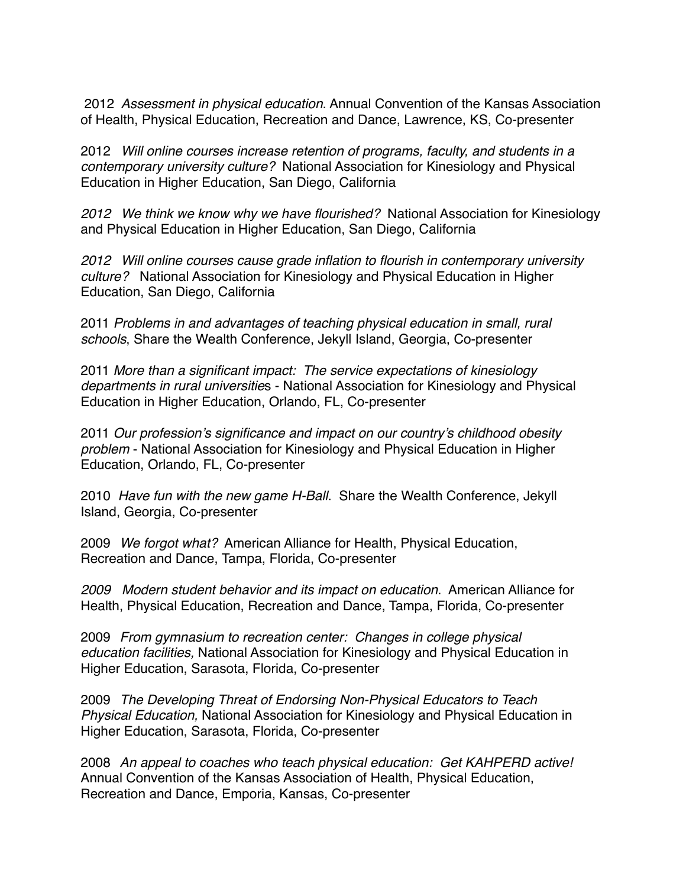2012 *Assessment in physical education*. Annual Convention of the Kansas Association of Health, Physical Education, Recreation and Dance, Lawrence, KS, Co-presenter

2012 *Will online courses increase retention of programs, faculty, and students in a contemporary university culture?* National Association for Kinesiology and Physical Education in Higher Education, San Diego, California

*2012 We think we know why we have flourished?* National Association for Kinesiology and Physical Education in Higher Education, San Diego, California

*2012 Will online courses cause grade inflation to flourish in contemporary university culture?* National Association for Kinesiology and Physical Education in Higher Education, San Diego, California

2011 *Problems in and advantages of teaching physical education in small, rural schools*, Share the Wealth Conference, Jekyll Island, Georgia, Co-presenter

2011 *More than a significant impact: The service expectations of kinesiology departments in rural universitie*s - National Association for Kinesiology and Physical Education in Higher Education, Orlando, FL, Co-presenter

2011 *Our profession's significance and impact on our country's childhood obesity problem* - National Association for Kinesiology and Physical Education in Higher Education, Orlando, FL, Co-presenter

2010 *Have fun with the new game H-Ball*. Share the Wealth Conference, Jekyll Island, Georgia, Co-presenter

2009 *We forgot what?* American Alliance for Health, Physical Education, Recreation and Dance, Tampa, Florida, Co-presenter

*2009 Modern student behavior and its impact on education*. American Alliance for Health, Physical Education, Recreation and Dance, Tampa, Florida, Co-presenter

2009 *From gymnasium to recreation center: Changes in college physical education facilities,* National Association for Kinesiology and Physical Education in Higher Education, Sarasota, Florida, Co-presenter

2009 *The Developing Threat of Endorsing Non-Physical Educators to Teach Physical Education,* National Association for Kinesiology and Physical Education in Higher Education, Sarasota, Florida, Co-presenter

2008 *An appeal to coaches who teach physical education: Get KAHPERD active!* Annual Convention of the Kansas Association of Health, Physical Education, Recreation and Dance, Emporia, Kansas, Co-presenter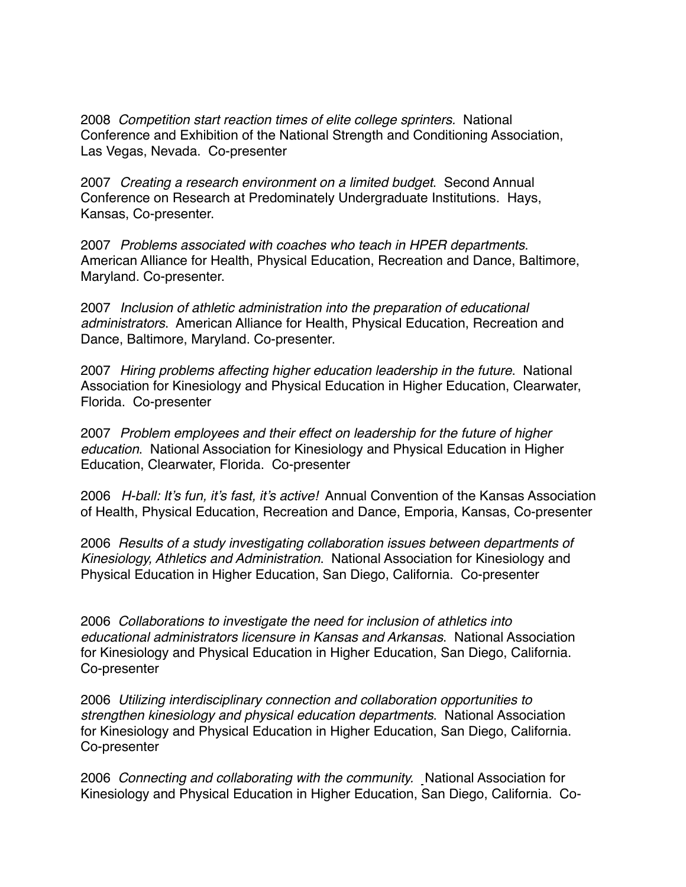2008 *Competition start reaction times of elite college sprinters.* National Conference and Exhibition of the National Strength and Conditioning Association, Las Vegas, Nevada. Co-presenter

2007 *Creating a research environment on a limited budget*. Second Annual Conference on Research at Predominately Undergraduate Institutions. Hays, Kansas, Co-presenter.

2007 *Problems associated with coaches who teach in HPER departments*. American Alliance for Health, Physical Education, Recreation and Dance, Baltimore, Maryland. Co-presenter.

2007 *Inclusion of athletic administration into the preparation of educational administrators*. American Alliance for Health, Physical Education, Recreation and Dance, Baltimore, Maryland. Co-presenter.

2007 *Hiring problems affecting higher education leadership in the future*. National Association for Kinesiology and Physical Education in Higher Education, Clearwater, Florida. Co-presenter

2007 *Problem employees and their effect on leadership for the future of higher education*. National Association for Kinesiology and Physical Education in Higher Education, Clearwater, Florida. Co-presenter

2006 *H-ball: It's fun, it's fast, it's active!* Annual Convention of the Kansas Association of Health, Physical Education, Recreation and Dance, Emporia, Kansas, Co-presenter

2006 *Results of a study investigating collaboration issues between departments of Kinesiology, Athletics and Administration*. National Association for Kinesiology and Physical Education in Higher Education, San Diego, California. Co-presenter

2006 *Collaborations to investigate the need for inclusion of athletics into educational administrators licensure in Kansas and Arkansas*. National Association for Kinesiology and Physical Education in Higher Education, San Diego, California. Co-presenter

2006 *Utilizing interdisciplinary connection and collaboration opportunities to strengthen kinesiology and physical education departments*. National Association for Kinesiology and Physical Education in Higher Education, San Diego, California. Co-presenter

2006 *Connecting and collaborating with the community.* National Association for Kinesiology and Physical Education in Higher Education, San Diego, California. Co-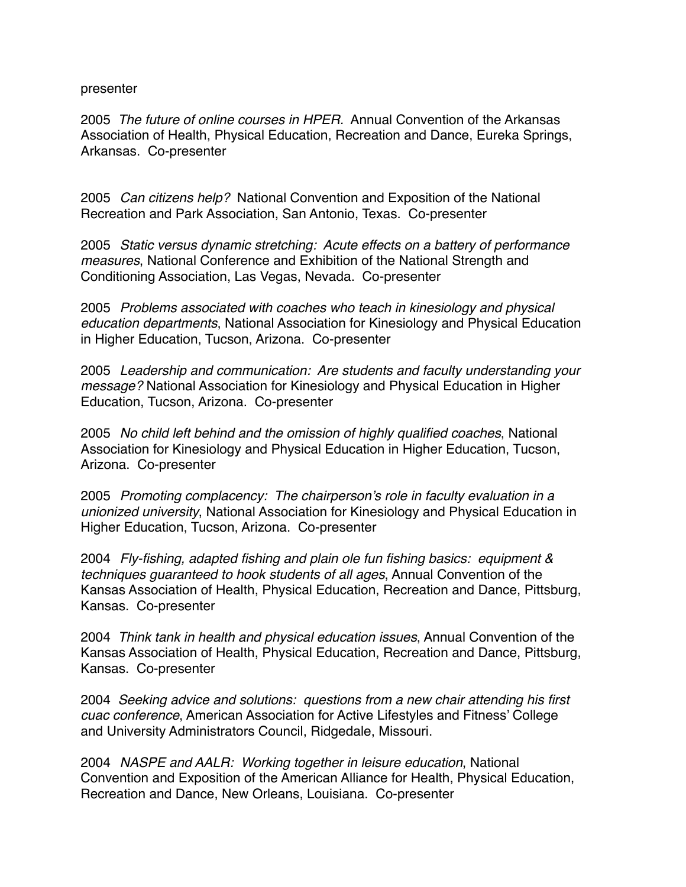#### presenter

2005 *The future of online courses in HPER.* Annual Convention of the Arkansas Association of Health, Physical Education, Recreation and Dance, Eureka Springs, Arkansas. Co-presenter

2005 *Can citizens help?* National Convention and Exposition of the National Recreation and Park Association, San Antonio, Texas. Co-presenter

2005 *Static versus dynamic stretching: Acute effects on a battery of performance measures*, National Conference and Exhibition of the National Strength and Conditioning Association, Las Vegas, Nevada. Co-presenter

2005 *Problems associated with coaches who teach in kinesiology and physical education departments*, National Association for Kinesiology and Physical Education in Higher Education, Tucson, Arizona. Co-presenter

2005 *Leadership and communication: Are students and faculty understanding your message?* National Association for Kinesiology and Physical Education in Higher Education, Tucson, Arizona. Co-presenter

2005 *No child left behind and the omission of highly qualified coaches*, National Association for Kinesiology and Physical Education in Higher Education, Tucson, Arizona. Co-presenter

2005 *Promoting complacency: The chairperson's role in faculty evaluation in a unionized university*, National Association for Kinesiology and Physical Education in Higher Education, Tucson, Arizona. Co-presenter

2004 *Fly-fishing, adapted fishing and plain ole fun fishing basics: equipment & techniques guaranteed to hook students of all ages*, Annual Convention of the Kansas Association of Health, Physical Education, Recreation and Dance, Pittsburg, Kansas. Co-presenter

2004 *Think tank in health and physical education issues*, Annual Convention of the Kansas Association of Health, Physical Education, Recreation and Dance, Pittsburg, Kansas. Co-presenter

2004 *Seeking advice and solutions: questions from a new chair attending his first cuac conference*, American Association for Active Lifestyles and Fitness' College and University Administrators Council, Ridgedale, Missouri.

2004 *NASPE and AALR: Working together in leisure education*, National Convention and Exposition of the American Alliance for Health, Physical Education, Recreation and Dance, New Orleans, Louisiana. Co-presenter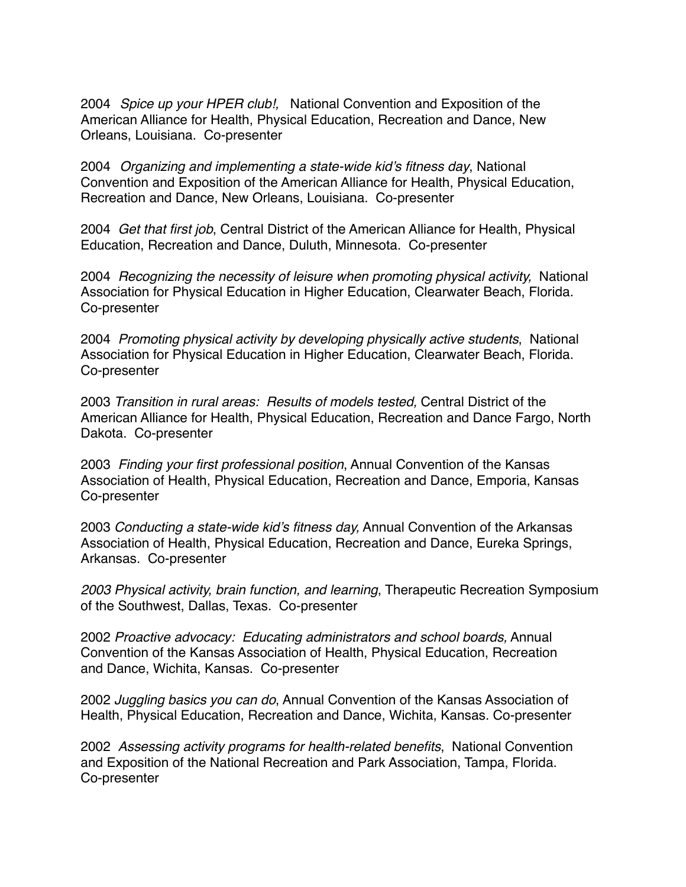2004 *Spice up your HPER club!,* National Convention and Exposition of the American Alliance for Health, Physical Education, Recreation and Dance, New Orleans, Louisiana. Co-presenter

2004 *Organizing and implementing a state-wide kid's fitness day*, National Convention and Exposition of the American Alliance for Health, Physical Education, Recreation and Dance, New Orleans, Louisiana. Co-presenter

2004 *Get that first job*, Central District of the American Alliance for Health, Physical Education, Recreation and Dance, Duluth, Minnesota. Co-presenter

2004 *Recognizing the necessity of leisure when promoting physical activity,* National Association for Physical Education in Higher Education, Clearwater Beach, Florida. Co-presenter

2004 *Promoting physical activity by developing physically active students*, National Association for Physical Education in Higher Education, Clearwater Beach, Florida. Co-presenter

2003 *Transition in rural areas: Results of models tested,* Central District of the American Alliance for Health, Physical Education, Recreation and Dance Fargo, North Dakota. Co-presenter

2003 *Finding your first professional position*, Annual Convention of the Kansas Association of Health, Physical Education, Recreation and Dance, Emporia, Kansas Co-presenter

2003 *Conducting a state-wide kid's fitness day,* Annual Convention of the Arkansas Association of Health, Physical Education, Recreation and Dance, Eureka Springs, Arkansas. Co-presenter

*2003 Physical activity, brain function, and learning*, Therapeutic Recreation Symposium of the Southwest, Dallas, Texas. Co-presenter

2002 *Proactive advocacy: Educating administrators and school boards,* Annual Convention of the Kansas Association of Health, Physical Education, Recreation and Dance, Wichita, Kansas. Co-presenter

2002 *Juggling basics you can do*, Annual Convention of the Kansas Association of Health, Physical Education, Recreation and Dance, Wichita, Kansas. Co-presenter

2002 *Assessing activity programs for health-related benefits*, National Convention and Exposition of the National Recreation and Park Association, Tampa, Florida. Co-presenter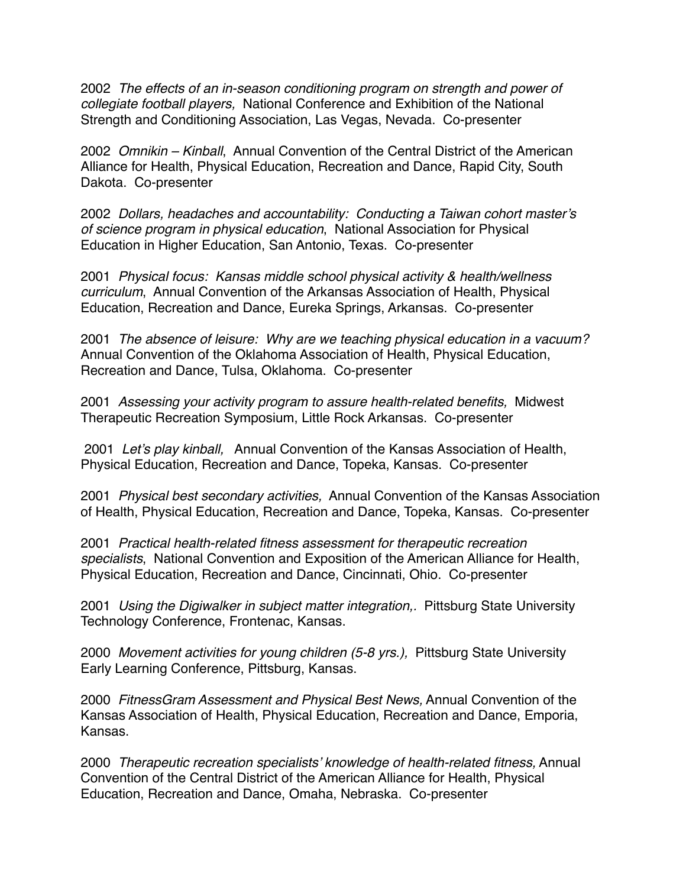2002 *The effects of an in-season conditioning program on strength and power of collegiate football players,* National Conference and Exhibition of the National Strength and Conditioning Association, Las Vegas, Nevada. Co-presenter

2002 *Omnikin – Kinball*, Annual Convention of the Central District of the American Alliance for Health, Physical Education, Recreation and Dance, Rapid City, South Dakota. Co-presenter

2002 *Dollars, headaches and accountability: Conducting a Taiwan cohort master's of science program in physical education*, National Association for Physical Education in Higher Education, San Antonio, Texas. Co-presenter

2001 *Physical focus: Kansas middle school physical activity & health/wellness curriculum*, Annual Convention of the Arkansas Association of Health, Physical Education, Recreation and Dance, Eureka Springs, Arkansas. Co-presenter

2001 *The absence of leisure: Why are we teaching physical education in a vacuum?* Annual Convention of the Oklahoma Association of Health, Physical Education, Recreation and Dance, Tulsa, Oklahoma. Co-presenter

2001 *Assessing your activity program to assure health-related benefits,* Midwest Therapeutic Recreation Symposium, Little Rock Arkansas. Co-presenter

 2001 *Let's play kinball,* Annual Convention of the Kansas Association of Health, Physical Education, Recreation and Dance, Topeka, Kansas. Co-presenter

2001 *Physical best secondary activities,* Annual Convention of the Kansas Association of Health, Physical Education, Recreation and Dance, Topeka, Kansas. Co-presenter

2001 *Practical health-related fitness assessment for therapeutic recreation specialists*, National Convention and Exposition of the American Alliance for Health, Physical Education, Recreation and Dance, Cincinnati, Ohio. Co-presenter

2001 *Using the Digiwalker in subject matter integration,.* Pittsburg State University Technology Conference, Frontenac, Kansas.

2000 *Movement activities for young children (5-8 yrs.),* Pittsburg State University Early Learning Conference, Pittsburg, Kansas.

2000 *FitnessGram Assessment and Physical Best News,* Annual Convention of the Kansas Association of Health, Physical Education, Recreation and Dance, Emporia, Kansas.

2000 *Therapeutic recreation specialists' knowledge of health-related fitness,* Annual Convention of the Central District of the American Alliance for Health, Physical Education, Recreation and Dance, Omaha, Nebraska. Co-presenter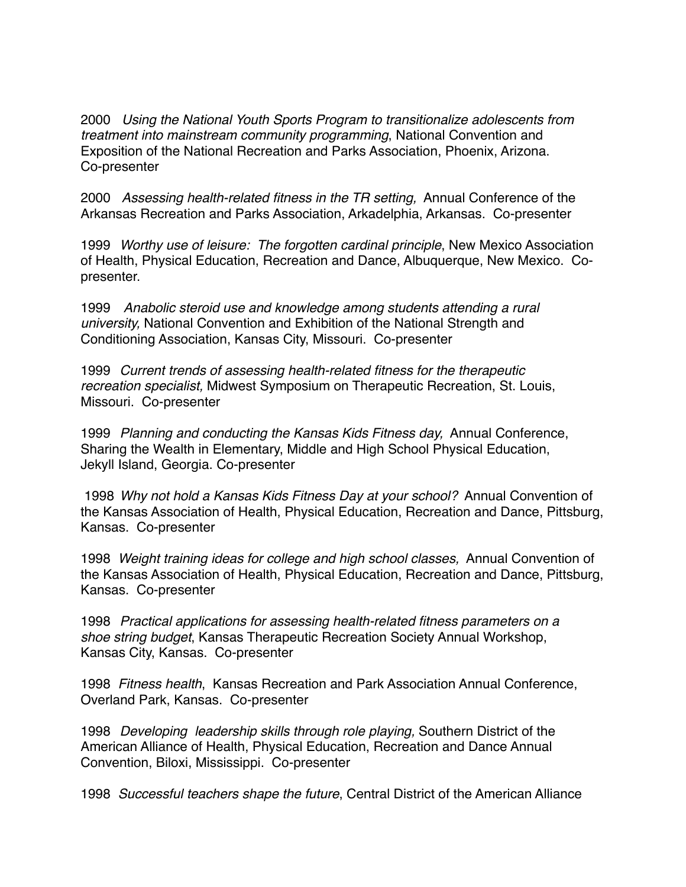2000 *Using the National Youth Sports Program to transitionalize adolescents from treatment into mainstream community programming*, National Convention and Exposition of the National Recreation and Parks Association, Phoenix, Arizona. Co-presenter

2000 *Assessing health-related fitness in the TR setting,* Annual Conference of the Arkansas Recreation and Parks Association, Arkadelphia, Arkansas. Co-presenter

1999 *Worthy use of leisure: The forgotten cardinal principle*, New Mexico Association of Health, Physical Education, Recreation and Dance, Albuquerque, New Mexico. Copresenter.

1999 *Anabolic steroid use and knowledge among students attending a rural university,* National Convention and Exhibition of the National Strength and Conditioning Association, Kansas City, Missouri. Co-presenter

1999 *Current trends of assessing health-related fitness for the therapeutic recreation specialist,* Midwest Symposium on Therapeutic Recreation, St. Louis, Missouri. Co-presenter

1999 *Planning and conducting the Kansas Kids Fitness day,* Annual Conference, Sharing the Wealth in Elementary, Middle and High School Physical Education, Jekyll Island, Georgia. Co-presenter

 1998 *Why not hold a Kansas Kids Fitness Day at your school?* Annual Convention of the Kansas Association of Health, Physical Education, Recreation and Dance, Pittsburg, Kansas. Co-presenter

1998 *Weight training ideas for college and high school classes,* Annual Convention of the Kansas Association of Health, Physical Education, Recreation and Dance, Pittsburg, Kansas. Co-presenter

1998 *Practical applications for assessing health-related fitness parameters on a shoe string budget*, Kansas Therapeutic Recreation Society Annual Workshop, Kansas City, Kansas. Co-presenter

1998 *Fitness health*, Kansas Recreation and Park Association Annual Conference, Overland Park, Kansas. Co-presenter

1998 *Developing leadership skills through role playing,* Southern District of the American Alliance of Health, Physical Education, Recreation and Dance Annual Convention, Biloxi, Mississippi. Co-presenter

1998 *Successful teachers shape the future*, Central District of the American Alliance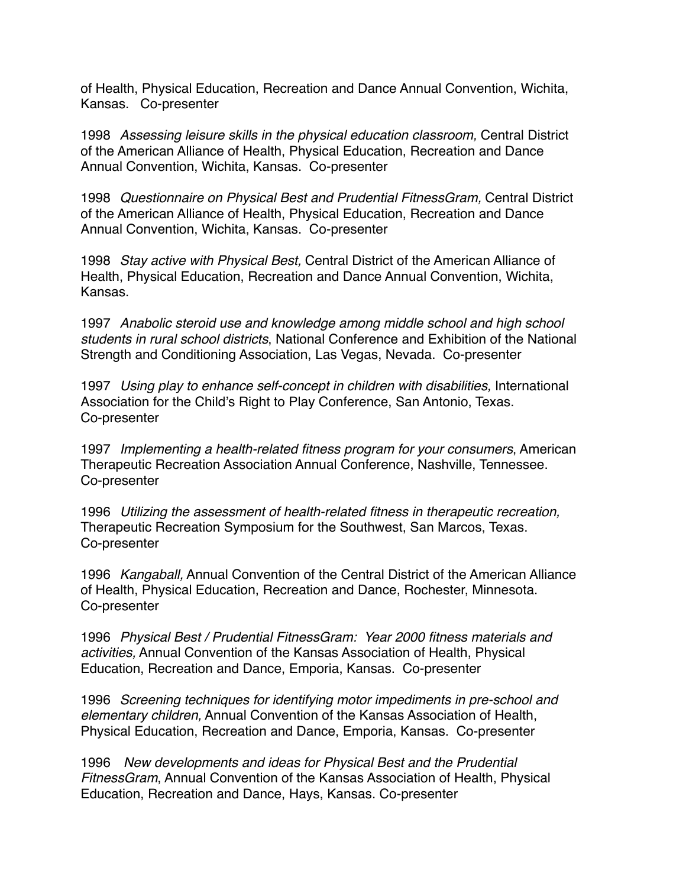of Health, Physical Education, Recreation and Dance Annual Convention, Wichita, Kansas. Co-presenter

1998 *Assessing leisure skills in the physical education classroom,* Central District of the American Alliance of Health, Physical Education, Recreation and Dance Annual Convention, Wichita, Kansas. Co-presenter

1998 *Questionnaire on Physical Best and Prudential FitnessGram,* Central District of the American Alliance of Health, Physical Education, Recreation and Dance Annual Convention, Wichita, Kansas. Co-presenter

1998 *Stay active with Physical Best,* Central District of the American Alliance of Health, Physical Education, Recreation and Dance Annual Convention, Wichita, Kansas.

1997 *Anabolic steroid use and knowledge among middle school and high school students in rural school districts*, National Conference and Exhibition of the National Strength and Conditioning Association, Las Vegas, Nevada. Co-presenter

1997 *Using play to enhance self-concept in children with disabilities,* International Association for the Child's Right to Play Conference, San Antonio, Texas. Co-presenter

1997 *Implementing a health-related fitness program for your consumers*, American Therapeutic Recreation Association Annual Conference, Nashville, Tennessee. Co-presenter

1996 *Utilizing the assessment of health-related fitness in therapeutic recreation,* Therapeutic Recreation Symposium for the Southwest, San Marcos, Texas. Co-presenter

1996 *Kangaball,* Annual Convention of the Central District of the American Alliance of Health, Physical Education, Recreation and Dance, Rochester, Minnesota. Co-presenter

1996 *Physical Best / Prudential FitnessGram: Year 2000 fitness materials and activities,* Annual Convention of the Kansas Association of Health, Physical Education, Recreation and Dance, Emporia, Kansas. Co-presenter

1996 *Screening techniques for identifying motor impediments in pre-school and elementary children,* Annual Convention of the Kansas Association of Health, Physical Education, Recreation and Dance, Emporia, Kansas. Co-presenter

1996 *New developments and ideas for Physical Best and the Prudential FitnessGram*, Annual Convention of the Kansas Association of Health, Physical Education, Recreation and Dance, Hays, Kansas. Co-presenter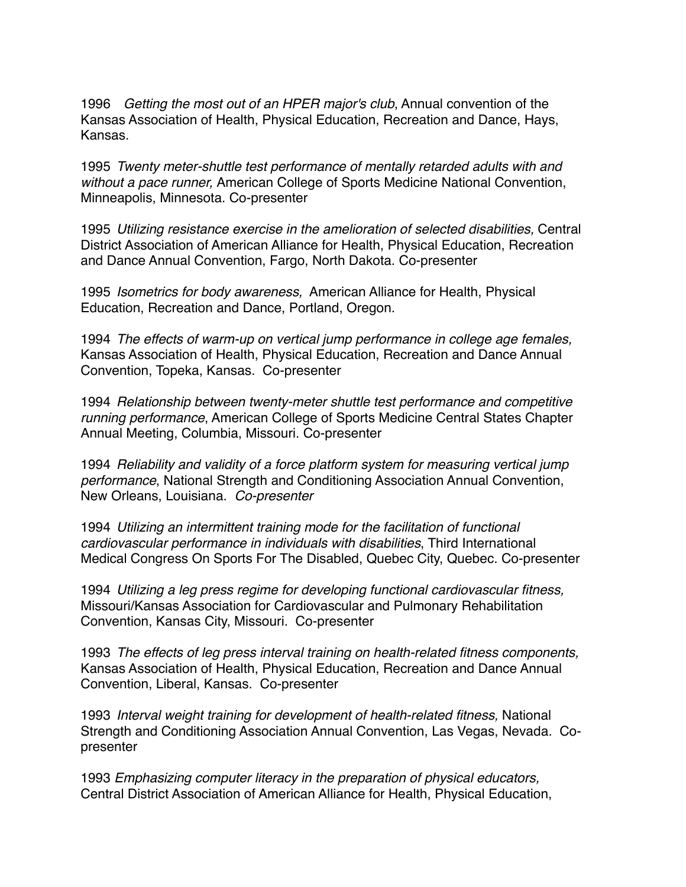1996 *Getting the most out of an HPER major's club*, Annual convention of the Kansas Association of Health, Physical Education, Recreation and Dance, Hays, Kansas.

1995 *Twenty meter-shuttle test performance of mentally retarded adults with and without a pace runner,* American College of Sports Medicine National Convention, Minneapolis, Minnesota. Co-presenter

1995 *Utilizing resistance exercise in the amelioration of selected disabilities,* Central District Association of American Alliance for Health, Physical Education, Recreation and Dance Annual Convention, Fargo, North Dakota. Co-presenter

1995 *Isometrics for body awareness,* American Alliance for Health, Physical Education, Recreation and Dance, Portland, Oregon.

1994 *The effects of warm-up on vertical jump performance in college age females,* Kansas Association of Health, Physical Education, Recreation and Dance Annual Convention, Topeka, Kansas. Co-presenter

1994 *Relationship between twenty-meter shuttle test performance and competitive running performance*, American College of Sports Medicine Central States Chapter Annual Meeting, Columbia, Missouri. Co-presenter

1994 *Reliability and validity of a force platform system for measuring vertical jump performance*, National Strength and Conditioning Association Annual Convention, New Orleans, Louisiana. *Co-presenter*

1994 *Utilizing an intermittent training mode for the facilitation of functional cardiovascular performance in individuals with disabilities*, Third International Medical Congress On Sports For The Disabled, Quebec City, Quebec. Co-presenter

1994 *Utilizing a leg press regime for developing functional cardiovascular fitness,* Missouri/Kansas Association for Cardiovascular and Pulmonary Rehabilitation Convention, Kansas City, Missouri. Co-presenter

1993 *The effects of leg press interval training on health-related fitness components,* Kansas Association of Health, Physical Education, Recreation and Dance Annual Convention, Liberal, Kansas. Co-presenter

1993 *Interval weight training for development of health-related fitness,* National Strength and Conditioning Association Annual Convention, Las Vegas, Nevada*.* Copresenter

1993 *Emphasizing computer literacy in the preparation of physical educators,*  Central District Association of American Alliance for Health, Physical Education,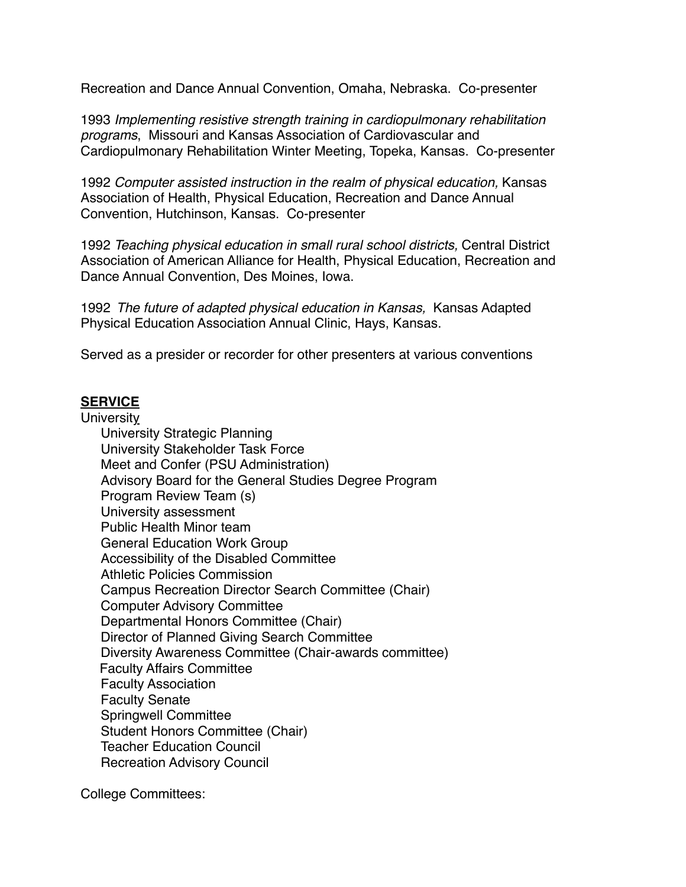Recreation and Dance Annual Convention, Omaha, Nebraska. Co-presenter

1993 *Implementing resistive strength training in cardiopulmonary rehabilitation programs*, Missouri and Kansas Association of Cardiovascular and Cardiopulmonary Rehabilitation Winter Meeting, Topeka, Kansas. Co-presenter

1992 *Computer assisted instruction in the realm of physical education,* Kansas Association of Health, Physical Education, Recreation and Dance Annual Convention, Hutchinson, Kansas.Co-presenter

1992 *Teaching physical education in small rural school districts,* Central District Association of American Alliance for Health, Physical Education, Recreation and Dance Annual Convention, Des Moines, Iowa.

1992 *The future of adapted physical education in Kansas,* Kansas Adapted Physical Education Association Annual Clinic, Hays, Kansas.

Served as a presider or recorder for other presenters at various conventions

# **SERVICE**

#### **University**

University Strategic Planning University Stakeholder Task Force Meet and Confer (PSU Administration) Advisory Board for the General Studies Degree Program Program Review Team (s) University assessment Public Health Minor team General Education Work Group Accessibility of the Disabled Committee Athletic Policies Commission Campus Recreation Director Search Committee (Chair) Computer Advisory Committee Departmental Honors Committee (Chair) Director of Planned Giving Search Committee Diversity Awareness Committee (Chair-awards committee) Faculty Affairs Committee Faculty Association Faculty Senate Springwell Committee Student Honors Committee (Chair) Teacher Education Council Recreation Advisory Council

College Committees: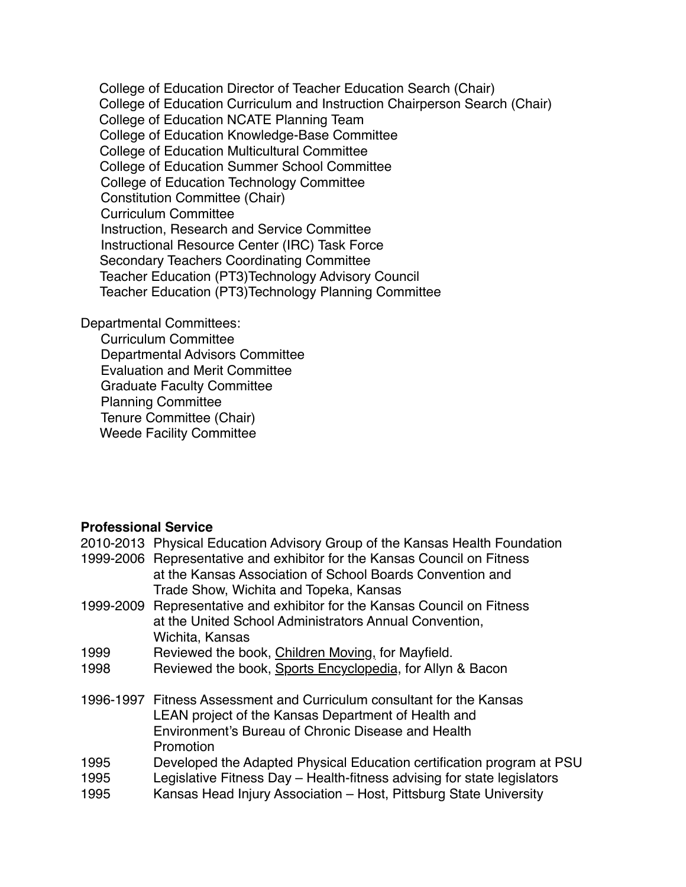College of Education Director of Teacher Education Search (Chair) College of Education Curriculum and Instruction Chairperson Search (Chair) College of Education NCATE Planning Team College of Education Knowledge-Base Committee College of Education Multicultural Committee College of Education Summer School Committee College of Education Technology Committee Constitution Committee (Chair) Curriculum Committee Instruction, Research and Service Committee Instructional Resource Center (IRC) Task Force Secondary Teachers Coordinating Committee Teacher Education (PT3)Technology Advisory Council Teacher Education (PT3)Technology Planning Committee

Departmental Committees:

Curriculum Committee Departmental Advisors Committee Evaluation and Merit Committee Graduate Faculty Committee Planning Committee Tenure Committee (Chair) Weede Facility Committee

# **Professional Service**

|      | 2010-2013 Physical Education Advisory Group of the Kansas Health Foundation |
|------|-----------------------------------------------------------------------------|
|      | 1999-2006 Representative and exhibitor for the Kansas Council on Fitness    |
|      | at the Kansas Association of School Boards Convention and                   |
|      | Trade Show, Wichita and Topeka, Kansas                                      |
|      | 1999-2009 Representative and exhibitor for the Kansas Council on Fitness    |
|      | at the United School Administrators Annual Convention,                      |
|      | Wichita, Kansas                                                             |
| 1999 | Reviewed the book, Children Moving, for Mayfield.                           |
| 1998 | Reviewed the book, Sports Encyclopedia, for Allyn & Bacon                   |
|      |                                                                             |
|      | 1996-1997 Fitness Assessment and Curriculum consultant for the Kansas       |
|      | LEAN project of the Kansas Department of Health and                         |
|      | Environment's Bureau of Chronic Disease and Health                          |
|      | Promotion                                                                   |
| 1995 | Developed the Adapted Physical Education certification program at PSU       |
| 1995 | Legislative Fitness Day – Health-fitness advising for state legislators     |
| 1995 | Kansas Head Injury Association - Host, Pittsburg State University           |
|      |                                                                             |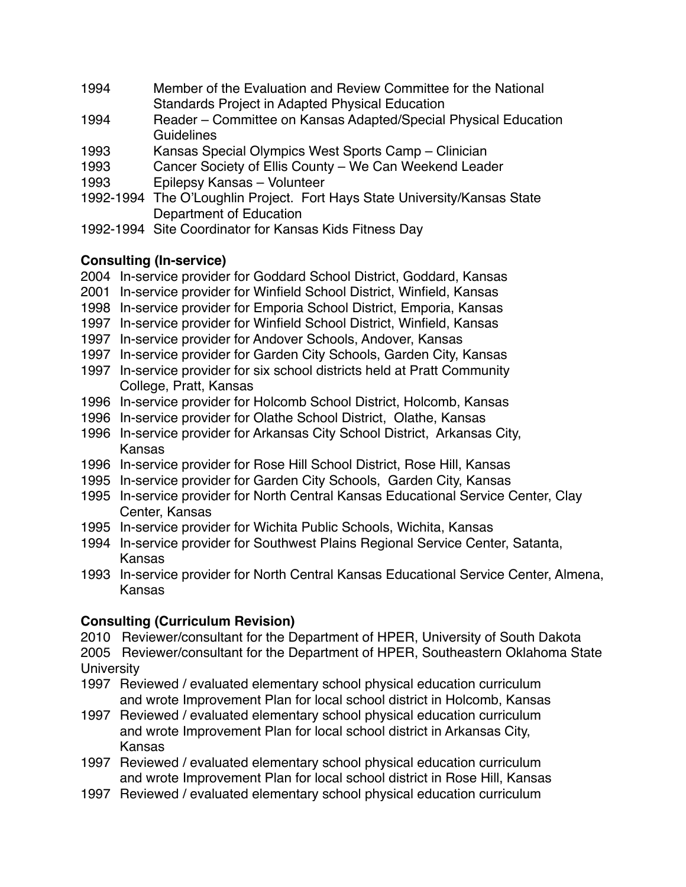- 1994 Member of the Evaluation and Review Committee for the National Standards Project in Adapted Physical Education
- 1994 Reader Committee on Kansas Adapted/Special Physical Education **Guidelines**
- 1993 Kansas Special Olympics West Sports Camp Clinician
- 1993 Cancer Society of Ellis County We Can Weekend Leader
- 1993 Epilepsy Kansas Volunteer
- 1992-1994 The O'Loughlin Project. Fort Hays State University/Kansas State Department of Education
- 1992-1994 Site Coordinator for Kansas Kids Fitness Day

# **Consulting (In-service)**

- 2004 In-service provider for Goddard School District, Goddard, Kansas
- 2001 In-service provider for Winfield School District, Winfield, Kansas
- 1998 In-service provider for Emporia School District, Emporia, Kansas
- 1997 In-service provider for Winfield School District, Winfield, Kansas
- 1997 In-service provider for Andover Schools, Andover, Kansas
- 1997 In-service provider for Garden City Schools, Garden City, Kansas
- 1997 In-service provider for six school districts held at Pratt Community College, Pratt, Kansas
- 1996 In-service provider for Holcomb School District, Holcomb, Kansas
- 1996 In-service provider for Olathe School District, Olathe, Kansas
- 1996 In-service provider for Arkansas City School District, Arkansas City, Kansas
- 1996 In-service provider for Rose Hill School District, Rose Hill, Kansas
- 1995 In-service provider for Garden City Schools, Garden City, Kansas
- 1995 In-service provider for North Central Kansas Educational Service Center, Clay Center, Kansas
- 1995 In-service provider for Wichita Public Schools, Wichita, Kansas
- 1994 In-service provider for Southwest Plains Regional Service Center, Satanta, Kansas
- 1993 In-service provider for North Central Kansas Educational Service Center, Almena, Kansas

# **Consulting (Curriculum Revision)**

- 2010 Reviewer/consultant for the Department of HPER, University of South Dakota
- 2005 Reviewer/consultant for the Department of HPER, Southeastern Oklahoma State **University**
- 1997 Reviewed / evaluated elementary school physical education curriculum and wrote Improvement Plan for local school district in Holcomb, Kansas
- 1997 Reviewed / evaluated elementary school physical education curriculum and wrote Improvement Plan for local school district in Arkansas City, Kansas
- 1997 Reviewed / evaluated elementary school physical education curriculum and wrote Improvement Plan for local school district in Rose Hill, Kansas
- 1997 Reviewed / evaluated elementary school physical education curriculum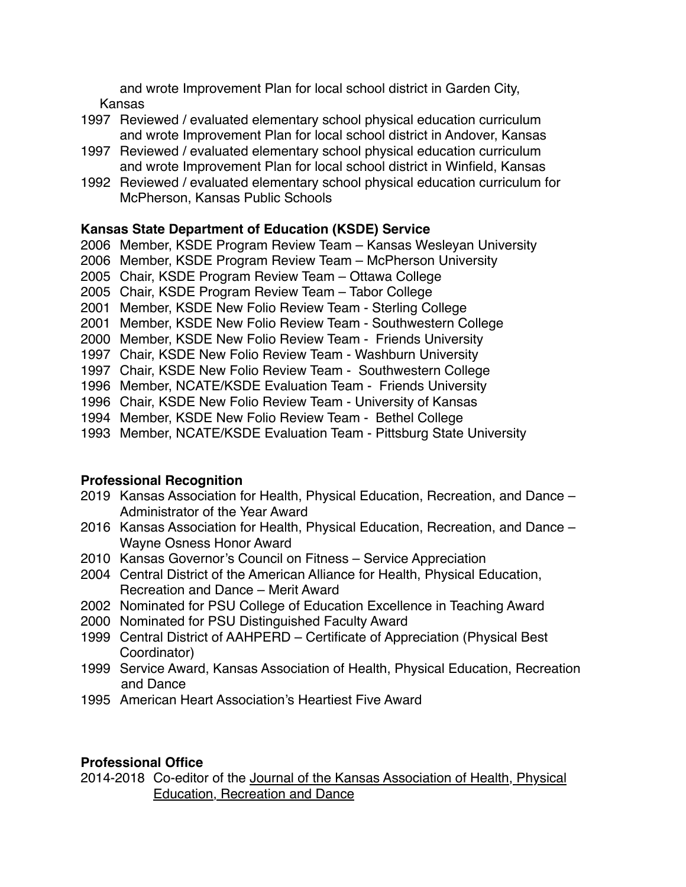and wrote Improvement Plan for local school district in Garden City, Kansas

- 1997 Reviewed / evaluated elementary school physical education curriculum and wrote Improvement Plan for local school district in Andover, Kansas
- 1997 Reviewed / evaluated elementary school physical education curriculum and wrote Improvement Plan for local school district in Winfield, Kansas
- 1992 Reviewed / evaluated elementary school physical education curriculum for McPherson, Kansas Public Schools

# **Kansas State Department of Education (KSDE) Service**

- 2006 Member, KSDE Program Review Team Kansas Wesleyan University
- 2006 Member, KSDE Program Review Team McPherson University
- 2005 Chair, KSDE Program Review Team Ottawa College
- 2005 Chair, KSDE Program Review Team Tabor College
- 2001 Member, KSDE New Folio Review Team Sterling College
- 2001 Member, KSDE New Folio Review Team Southwestern College
- 2000 Member, KSDE New Folio Review Team Friends University
- 1997 Chair, KSDE New Folio Review Team Washburn University
- 1997 Chair, KSDE New Folio Review Team Southwestern College
- 1996 Member, NCATE/KSDE Evaluation Team Friends University
- 1996 Chair, KSDE New Folio Review Team University of Kansas
- 1994 Member, KSDE New Folio Review Team Bethel College
- 1993 Member, NCATE/KSDE Evaluation Team Pittsburg State University

# **Professional Recognition**

- 2019 Kansas Association for Health, Physical Education, Recreation, and Dance Administrator of the Year Award
- 2016 Kansas Association for Health, Physical Education, Recreation, and Dance Wayne Osness Honor Award
- 2010 Kansas Governor's Council on Fitness Service Appreciation
- 2004 Central District of the American Alliance for Health, Physical Education, Recreation and Dance – Merit Award
- 2002 Nominated for PSU College of Education Excellence in Teaching Award
- 2000 Nominated for PSU Distinguished Faculty Award
- 1999 Central District of AAHPERD Certificate of Appreciation (Physical Best Coordinator)
- 1999 Service Award, Kansas Association of Health, Physical Education, Recreation and Dance
- 1995 American Heart Association's Heartiest Five Award

# **Professional Office**

2014-2018 Co-editor of the Journal of the Kansas Association of Health, Physical Education, Recreation and Dance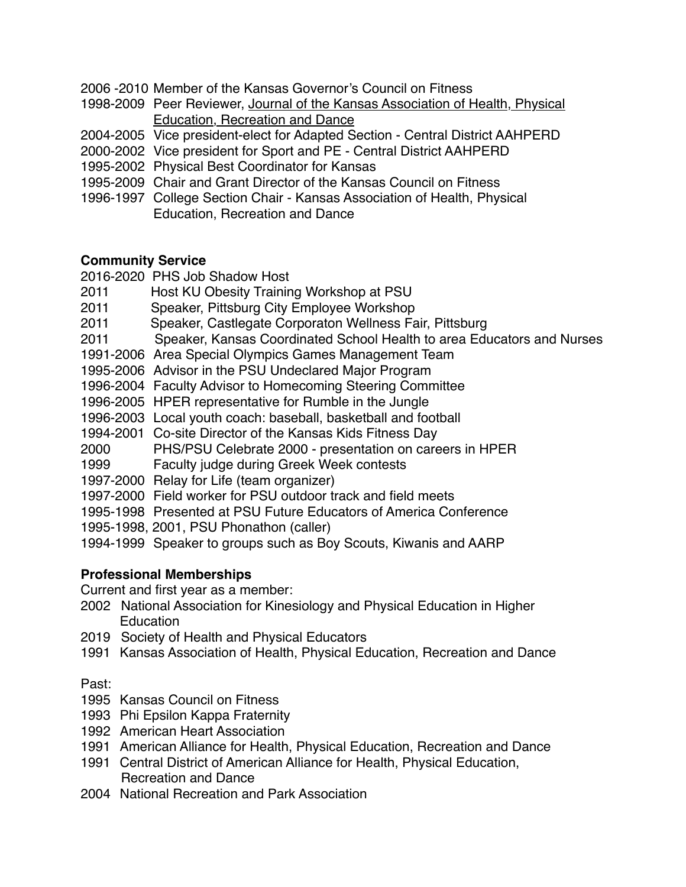- 2006 -2010 Member of the Kansas Governor's Council on Fitness
- 1998-2009 Peer Reviewer, Journal of the Kansas Association of Health, Physical Education, Recreation and Dance
- 2004-2005 Vice president-elect for Adapted Section Central District AAHPERD
- 2000-2002 Vice president for Sport and PE Central District AAHPERD
- 1995-2002 Physical Best Coordinator for Kansas
- 1995-2009 Chair and Grant Director of the Kansas Council on Fitness
- 1996-1997 College Section Chair Kansas Association of Health, Physical Education, Recreation and Dance

# **Community Service**

2016-2020 PHS Job Shadow Host

- 2011 Host KU Obesity Training Workshop at PSU
- 2011 Speaker, Pittsburg City Employee Workshop
- 2011 Speaker, Castlegate Corporaton Wellness Fair, Pittsburg
- 2011 Speaker, Kansas Coordinated School Health to area Educators and Nurses
- 1991-2006 Area Special Olympics Games Management Team
- 1995-2006 Advisor in the PSU Undeclared Major Program
- 1996-2004 Faculty Advisor to Homecoming Steering Committee
- 1996-2005 HPER representative for Rumble in the Jungle
- 1996-2003 Local youth coach: baseball, basketball and football
- 1994-2001 Co-site Director of the Kansas Kids Fitness Day
- 2000 PHS/PSU Celebrate 2000 presentation on careers in HPER
- 1999 Faculty judge during Greek Week contests
- 1997-2000 Relay for Life (team organizer)
- 1997-2000 Field worker for PSU outdoor track and field meets
- 1995-1998 Presented at PSU Future Educators of America Conference
- 1995-1998, 2001, PSU Phonathon (caller)
- 1994-1999 Speaker to groups such as Boy Scouts, Kiwanis and AARP

# **Professional Memberships**

Current and first year as a member:

- 2002 National Association for Kinesiology and Physical Education in Higher **Education**
- 2019 Society of Health and Physical Educators
- 1991 Kansas Association of Health, Physical Education, Recreation and Dance

# Past:

- 1995 Kansas Council on Fitness
- 1993 Phi Epsilon Kappa Fraternity
- 1992 American Heart Association
- 1991 American Alliance for Health, Physical Education, Recreation and Dance
- 1991 Central District of American Alliance for Health, Physical Education, Recreation and Dance
- 2004 National Recreation and Park Association